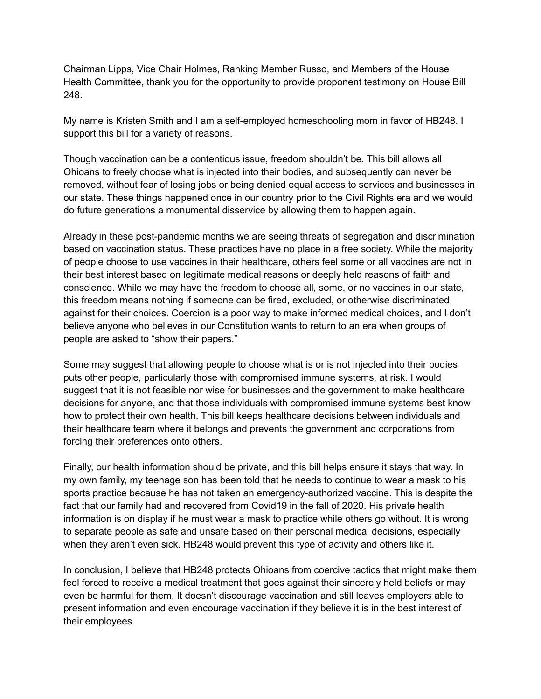Chairman Lipps, Vice Chair Holmes, Ranking Member Russo, and Members of the House Health Committee, thank you for the opportunity to provide proponent testimony on House Bill 248.

My name is Kristen Smith and I am a self-employed homeschooling mom in favor of HB248. I support this bill for a variety of reasons.

Though vaccination can be a contentious issue, freedom shouldn't be. This bill allows all Ohioans to freely choose what is injected into their bodies, and subsequently can never be removed, without fear of losing jobs or being denied equal access to services and businesses in our state. These things happened once in our country prior to the Civil Rights era and we would do future generations a monumental disservice by allowing them to happen again.

Already in these post-pandemic months we are seeing threats of segregation and discrimination based on vaccination status. These practices have no place in a free society. While the majority of people choose to use vaccines in their healthcare, others feel some or all vaccines are not in their best interest based on legitimate medical reasons or deeply held reasons of faith and conscience. While we may have the freedom to choose all, some, or no vaccines in our state, this freedom means nothing if someone can be fired, excluded, or otherwise discriminated against for their choices. Coercion is a poor way to make informed medical choices, and I don't believe anyone who believes in our Constitution wants to return to an era when groups of people are asked to "show their papers."

Some may suggest that allowing people to choose what is or is not injected into their bodies puts other people, particularly those with compromised immune systems, at risk. I would suggest that it is not feasible nor wise for businesses and the government to make healthcare decisions for anyone, and that those individuals with compromised immune systems best know how to protect their own health. This bill keeps healthcare decisions between individuals and their healthcare team where it belongs and prevents the government and corporations from forcing their preferences onto others.

Finally, our health information should be private, and this bill helps ensure it stays that way. In my own family, my teenage son has been told that he needs to continue to wear a mask to his sports practice because he has not taken an emergency-authorized vaccine. This is despite the fact that our family had and recovered from Covid19 in the fall of 2020. His private health information is on display if he must wear a mask to practice while others go without. It is wrong to separate people as safe and unsafe based on their personal medical decisions, especially when they aren't even sick. HB248 would prevent this type of activity and others like it.

In conclusion, I believe that HB248 protects Ohioans from coercive tactics that might make them feel forced to receive a medical treatment that goes against their sincerely held beliefs or may even be harmful for them. It doesn't discourage vaccination and still leaves employers able to present information and even encourage vaccination if they believe it is in the best interest of their employees.